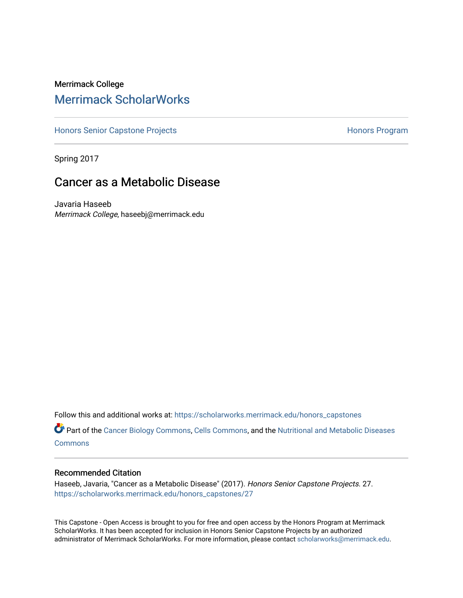# Merrimack College [Merrimack ScholarWorks](https://scholarworks.merrimack.edu/)

[Honors Senior Capstone Projects](https://scholarworks.merrimack.edu/honors_capstones) **Honors Program** Honors Program

Spring 2017

# Cancer as a Metabolic Disease

Javaria Haseeb Merrimack College, haseebj@merrimack.edu

Follow this and additional works at: [https://scholarworks.merrimack.edu/honors\\_capstones](https://scholarworks.merrimack.edu/honors_capstones?utm_source=scholarworks.merrimack.edu%2Fhonors_capstones%2F27&utm_medium=PDF&utm_campaign=PDFCoverPages)

Part of the [Cancer Biology Commons,](http://network.bepress.com/hgg/discipline/12?utm_source=scholarworks.merrimack.edu%2Fhonors_capstones%2F27&utm_medium=PDF&utm_campaign=PDFCoverPages) [Cells Commons](http://network.bepress.com/hgg/discipline/940?utm_source=scholarworks.merrimack.edu%2Fhonors_capstones%2F27&utm_medium=PDF&utm_campaign=PDFCoverPages), and the Nutritional and Metabolic Diseases **[Commons](http://network.bepress.com/hgg/discipline/1003?utm_source=scholarworks.merrimack.edu%2Fhonors_capstones%2F27&utm_medium=PDF&utm_campaign=PDFCoverPages)** 

#### Recommended Citation

Haseeb, Javaria, "Cancer as a Metabolic Disease" (2017). Honors Senior Capstone Projects. 27. [https://scholarworks.merrimack.edu/honors\\_capstones/27](https://scholarworks.merrimack.edu/honors_capstones/27?utm_source=scholarworks.merrimack.edu%2Fhonors_capstones%2F27&utm_medium=PDF&utm_campaign=PDFCoverPages) 

This Capstone - Open Access is brought to you for free and open access by the Honors Program at Merrimack ScholarWorks. It has been accepted for inclusion in Honors Senior Capstone Projects by an authorized administrator of Merrimack ScholarWorks. For more information, please contact [scholarworks@merrimack.edu](mailto:scholarworks@merrimack.edu).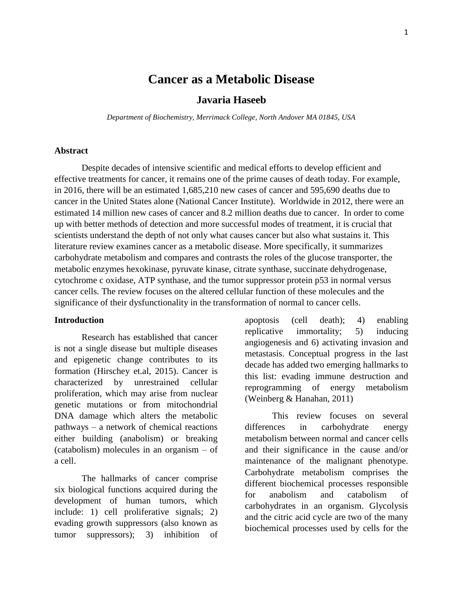# **Cancer as a Metabolic Disease**

# **Javaria Haseeb**

*Department of Biochemistry, Merrimack College, North Andover MA 01845, USA*

## **Abstract**

Despite decades of intensive scientific and medical efforts to develop efficient and effective treatments for cancer, it remains one of the prime causes of death today. For example, in 2016, there will be an estimated 1,685,210 new cases of cancer and 595,690 deaths due to cancer in the United States alone (National Cancer Institute). Worldwide in 2012, there were an estimated 14 million new cases of cancer and 8.2 million deaths due to cancer. In order to come up with better methods of detection and more successful modes of treatment, it is crucial that scientists understand the depth of not only what causes cancer but also what sustains it. This literature review examines cancer as a metabolic disease. More specifically, it summarizes carbohydrate metabolism and compares and contrasts the roles of the glucose transporter, the metabolic enzymes hexokinase, pyruvate kinase, citrate synthase, succinate dehydrogenase, cytochrome c oxidase, ATP synthase, and the tumor suppressor protein p53 in normal versus cancer cells. The review focuses on the altered cellular function of these molecules and the significance of their dysfunctionality in the transformation of normal to cancer cells.

## **Introduction**

Research has established that cancer is not a single disease but multiple diseases and epigenetic change contributes to its formation (Hirschey et.al, 2015). Cancer is characterized by unrestrained cellular proliferation, which may arise from nuclear genetic mutations or from mitochondrial DNA damage which alters the metabolic pathways – a network of chemical reactions either building (anabolism) or breaking (catabolism) molecules in an organism – of a cell.

The hallmarks of cancer comprise six biological functions acquired during the development of human tumors, which include: 1) cell proliferative signals; 2) evading growth suppressors (also known as tumor suppressors); 3) inhibition of apoptosis (cell death); 4) enabling replicative immortality; 5) inducing angiogenesis and 6) activating invasion and metastasis. Conceptual progress in the last decade has added two emerging hallmarks to this list: evading immune destruction and reprogramming of energy metabolism (Weinberg & Hanahan, 2011)

This review focuses on several differences in carbohydrate energy metabolism between normal and cancer cells and their significance in the cause and/or maintenance of the malignant phenotype. Carbohydrate metabolism comprises the different biochemical processes responsible for anabolism and catabolism of carbohydrates in an organism. Glycolysis and the citric acid cycle are two of the many biochemical processes used by cells for the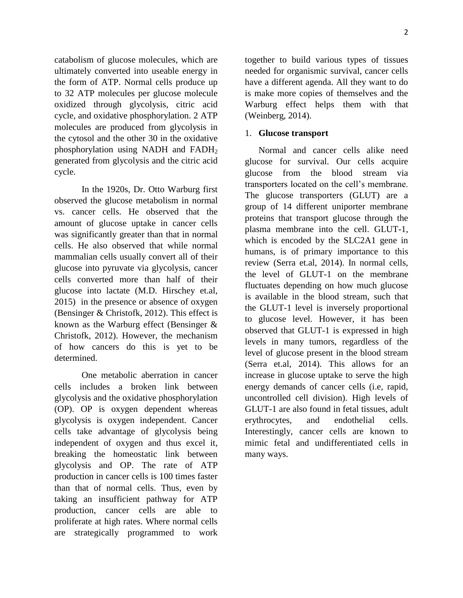catabolism of glucose molecules, which are ultimately converted into useable energy in the form of ATP. Normal cells produce up to 32 ATP molecules per glucose molecule oxidized through glycolysis, citric acid cycle, and oxidative phosphorylation. 2 ATP molecules are produced from glycolysis in the cytosol and the other 30 in the oxidative phosphorylation using NADH and FADH<sup>2</sup> generated from glycolysis and the citric acid cycle.

In the 1920s, Dr. Otto Warburg first observed the glucose metabolism in normal vs. cancer cells. He observed that the amount of glucose uptake in cancer cells was significantly greater than that in normal cells. He also observed that while normal mammalian cells usually convert all of their glucose into pyruvate via glycolysis, cancer cells converted more than half of their glucose into lactate (M.D. Hirschey et.al, 2015) in the presence or absence of oxygen (Bensinger & Christofk, 2012). This effect is known as the Warburg effect (Bensinger & Christofk, 2012). However, the mechanism of how cancers do this is yet to be determined.

One metabolic aberration in cancer cells includes a broken link between glycolysis and the oxidative phosphorylation (OP). OP is oxygen dependent whereas glycolysis is oxygen independent. Cancer cells take advantage of glycolysis being independent of oxygen and thus excel it, breaking the homeostatic link between glycolysis and OP. The rate of ATP production in cancer cells is 100 times faster than that of normal cells. Thus, even by taking an insufficient pathway for ATP production, cancer cells are able to proliferate at high rates. Where normal cells are strategically programmed to work

together to build various types of tissues needed for organismic survival, cancer cells have a different agenda. All they want to do is make more copies of themselves and the Warburg effect helps them with that (Weinberg, 2014).

### 1. **Glucose transport**

Normal and cancer cells alike need glucose for survival. Our cells acquire glucose from the blood stream via transporters located on the cell's membrane. The glucose transporters (GLUT) are a group of 14 different uniporter membrane proteins that transport glucose through the plasma membrane into the cell. GLUT-1, which is encoded by the SLC2A1 gene in humans, is of primary importance to this review (Serra et.al, 2014). In normal cells, the level of GLUT-1 on the membrane fluctuates depending on how much glucose is available in the blood stream, such that the GLUT-1 level is inversely proportional to glucose level. However, it has been observed that GLUT-1 is expressed in high levels in many tumors, regardless of the level of glucose present in the blood stream (Serra et.al, 2014). This allows for an increase in glucose uptake to serve the high energy demands of cancer cells (i.e, rapid, uncontrolled cell division). High levels of GLUT-1 are also found in fetal tissues, adult erythrocytes, and endothelial cells. Interestingly, cancer cells are known to mimic fetal and undifferentiated cells in many ways.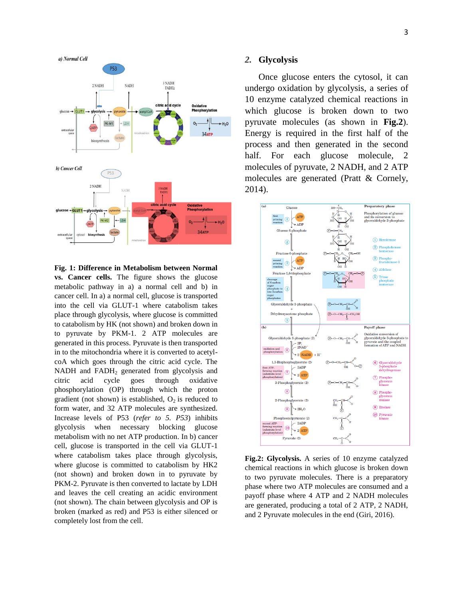

**Fig. 1: Difference in Metabolism between Normal vs. Cancer cells.** The figure shows the glucose metabolic pathway in a) a normal cell and b) in cancer cell. In a) a normal cell, glucose is transported into the cell via GLUT-1 where catabolism takes place through glycolysis, where glucose is committed to catabolism by HK (not shown) and broken down in to pyruvate by PKM-1. 2 ATP molecules are generated in this process. Pyruvate is then transported in to the mitochondria where it is converted to acetylcoA which goes through the citric acid cycle. The NADH and FADH<sub>2</sub> generated from glycolysis and citric acid cycle goes through oxidative phosphorylation (OP) through which the proton gradient (not shown) is established,  $O_2$  is reduced to form water, and 32 ATP molecules are synthesized. Increase levels of P53 (*refer to 5. P53*) inhibits glycolysis when necessary blocking glucose metabolism with no net ATP production. In b) cancer cell, glucose is transported in the cell via GLUT-1 where catabolism takes place through glycolysis, where glucose is committed to catabolism by HK2 (not shown) and broken down in to pyruvate by PKM-2. Pyruvate is then converted to lactate by LDH and leaves the cell creating an acidic environment (not shown). The chain between glycolysis and OP is broken (marked as red) and P53 is either silenced or completely lost from the cell.

#### *2.* **Glycolysis**

Once glucose enters the cytosol, it can undergo oxidation by glycolysis, a series of 10 enzyme catalyzed chemical reactions in which glucose is broken down to two pyruvate molecules (as shown in **Fig.2**). Energy is required in the first half of the process and then generated in the second half. For each glucose molecule, 2 molecules of pyruvate, 2 NADH, and 2 ATP molecules are generated (Pratt & Cornely, 2014).



**Fig.2: Glycolysis.** A series of 10 enzyme catalyzed chemical reactions in which glucose is broken down to two pyruvate molecules. There is a preparatory phase where two ATP molecules are consumed and a payoff phase where 4 ATP and 2 NADH molecules are generated, producing a total of 2 ATP, 2 NADH, and 2 Pyruvate molecules in the end (Giri, 2016).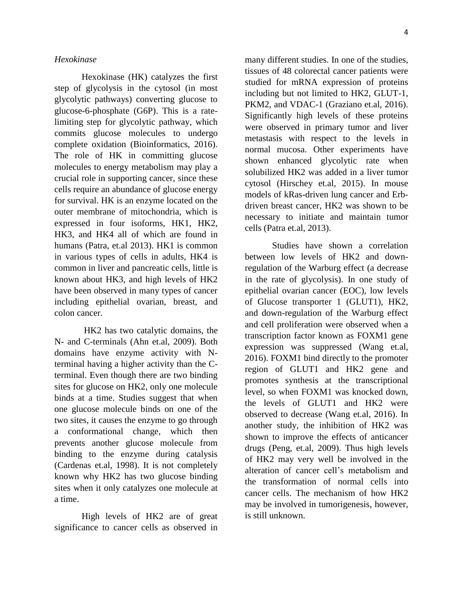### *Hexokinase*

Hexokinase (HK) catalyzes the first step of glycolysis in the cytosol (in most glycolytic pathways) converting glucose to glucose-6-phosphate (G6P). This is a ratelimiting step for glycolytic pathway, which commits glucose molecules to undergo complete oxidation (Bioinformatics, 2016). The role of HK in committing glucose molecules to energy metabolism may play a crucial role in supporting cancer, since these cells require an abundance of glucose energy for survival. HK is an enzyme located on the outer membrane of mitochondria, which is expressed in four isoforms, HK1, HK2, HK3, and HK4 all of which are found in humans (Patra, et.al 2013). HK1 is common in various types of cells in adults, HK4 is common in liver and pancreatic cells, little is known about HK3, and high levels of HK2 have been observed in many types of cancer including epithelial ovarian, breast, and colon cancer.

HK2 has two catalytic domains, the N- and C-terminals (Ahn et.al, 2009). Both domains have enzyme activity with Nterminal having a higher activity than the Cterminal. Even though there are two binding sites for glucose on HK2, only one molecule binds at a time. Studies suggest that when one glucose molecule binds on one of the two sites, it causes the enzyme to go through a conformational change, which then prevents another glucose molecule from binding to the enzyme during catalysis (Cardenas et.al, 1998). It is not completely known why HK2 has two glucose binding sites when it only catalyzes one molecule at a time.

High levels of HK2 are of great significance to cancer cells as observed in many different studies. In one of the studies, tissues of 48 colorectal cancer patients were studied for mRNA expression of proteins including but not limited to HK2, GLUT-1, PKM2, and VDAC-1 (Graziano et.al, 2016). Significantly high levels of these proteins were observed in primary tumor and liver metastasis with respect to the levels in normal mucosa. Other experiments have shown enhanced glycolytic rate when solubilized HK2 was added in a liver tumor cytosol (Hirschey et.al, 2015). In mouse models of kRas-driven lung cancer and Erbdriven breast cancer, HK2 was shown to be necessary to initiate and maintain tumor cells (Patra et.al, 2013).

Studies have shown a correlation between low levels of HK2 and downregulation of the Warburg effect (a decrease in the rate of glycolysis). In one study of epithelial ovarian cancer (EOC), low levels of Glucose transporter 1 (GLUT1), HK2, and down-regulation of the Warburg effect and cell proliferation were observed when a transcription factor known as FOXM1 gene expression was suppressed (Wang et.al, 2016). FOXM1 bind directly to the promoter region of GLUT1 and HK2 gene and promotes synthesis at the transcriptional level, so when FOXM1 was knocked down, the levels of GLUT1 and HK2 were observed to decrease (Wang et.al, 2016). In another study, the inhibition of HK2 was shown to improve the effects of anticancer drugs (Peng, et.al, 2009). Thus high levels of HK2 may very well be involved in the alteration of cancer cell's metabolism and the transformation of normal cells into cancer cells. The mechanism of how HK2 may be involved in tumorigenesis, however, is still unknown.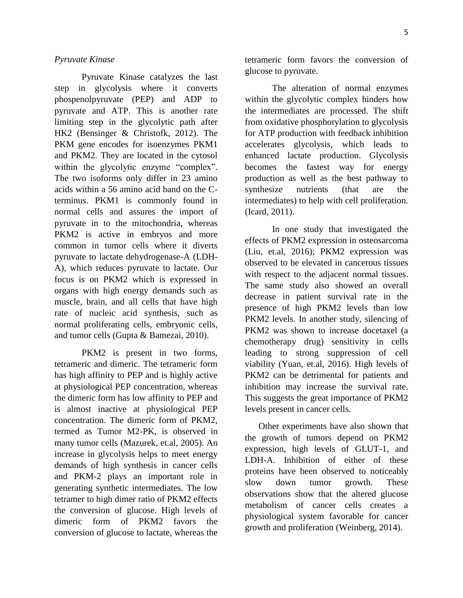#### *Pyruvate Kinase*

Pyruvate Kinase catalyzes the last step in glycolysis where it converts phospenolpyruvate (PEP) and ADP to pyruvate and ATP. This is another rate limiting step in the glycolytic path after HK2 (Bensinger & Christofk, 2012). The PKM gene encodes for isoenzymes PKM1 and PKM2. They are located in the cytosol within the glycolytic enzyme "complex". The two isoforms only differ in 23 amino acids within a 56 amino acid band on the Cterminus. PKM1 is commonly found in normal cells and assures the import of pyruvate in to the mitochondria, whereas PKM2 is active in embryos and more common in tumor cells where it diverts pyruvate to lactate dehydrogenase-A (LDH-A), which reduces pyruvate to lactate. Our focus is on PKM2 which is expressed in organs with high energy demands such as muscle, brain, and all cells that have high rate of nucleic acid synthesis, such as normal proliferating cells, embryonic cells, and tumor cells (Gupta & Bamezai, 2010).

PKM2 is present in two forms, tetrameric and dimeric. The tetrameric form has high affinity to PEP and is highly active at physiological PEP concentration, whereas the dimeric form has low affinity to PEP and is almost inactive at physiological PEP concentration. The dimeric form of PKM2, termed as Tumor M2-PK, is observed in many tumor cells (Mazurek, et.al, 2005). An increase in glycolysis helps to meet energy demands of high synthesis in cancer cells and PKM-2 plays an important role in generating synthetic intermediates. The low tetramer to high dimer ratio of PKM2 effects the conversion of glucose. High levels of dimeric form of PKM2 favors the conversion of glucose to lactate, whereas the tetrameric form favors the conversion of glucose to pyruvate.

The alteration of normal enzymes within the glycolytic complex hinders how the intermediates are processed. The shift from oxidative phosphorylation to glycolysis for ATP production with feedback inhibition accelerates glycolysis, which leads to enhanced lactate production. Glycolysis becomes the fastest way for energy production as well as the best pathway to synthesize nutrients (that are the intermediates) to help with cell proliferation. (Icard, 2011).

In one study that investigated the effects of PKM2 expression in osteosarcoma (Liu, et.al, 2016); PKM2 expression was observed to be elevated in cancerous tissues with respect to the adjacent normal tissues. The same study also showed an overall decrease in patient survival rate in the presence of high PKM2 levels than low PKM2 levels. In another study, silencing of PKM2 was shown to increase docetaxel (a chemotherapy drug) sensitivity in cells leading to strong suppression of cell viability (Yuan, et.al, 2016). High levels of PKM2 can be detrimental for patients and inhibition may increase the survival rate. This suggests the great importance of PKM2 levels present in cancer cells.

Other experiments have also shown that the growth of tumors depend on PKM2 expression, high levels of GLUT-1, and LDH-A. Inhibition of either of these proteins have been observed to noticeably slow down tumor growth. These observations show that the altered glucose metabolism of cancer cells creates a physiological system favorable for cancer growth and proliferation (Weinberg, 2014).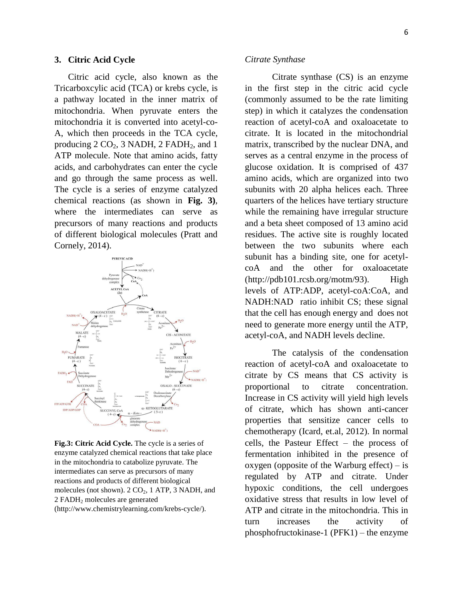#### **3. Citric Acid Cycle**

Citric acid cycle, also known as the Tricarboxcylic acid (TCA) or krebs cycle, is a pathway located in the inner matrix of mitochondria. When pyruvate enters the mitochondria it is converted into acetyl-co-A, which then proceeds in the TCA cycle, producing  $2 \text{ CO}_2$ ,  $3 \text{ NADH}$ ,  $2 \text{ FADH}_2$ , and  $1$ ATP molecule. Note that amino acids, fatty acids, and carbohydrates can enter the cycle and go through the same process as well. The cycle is a series of enzyme catalyzed chemical reactions (as shown in **Fig. 3)**, where the intermediates can serve as precursors of many reactions and products of different biological molecules (Pratt and Cornely, 2014).



**Fig.3: Citric Acid Cycle.** The cycle is a series of enzyme catalyzed chemical reactions that take place in the mitochondria to catabolize pyruvate. The intermediates can serve as precursors of many reactions and products of different biological molecules (not shown).  $2 \text{ CO}_2$ ,  $1 \text{ ATP}$ ,  $3 \text{ NADH}$ , and 2 FADH<sup>2</sup> molecules are generated (http://www.chemistrylearning.com/krebs-cycle/).

#### *Citrate Synthase*

Citrate synthase (CS) is an enzyme in the first step in the citric acid cycle (commonly assumed to be the rate limiting step) in which it catalyzes the condensation reaction of acetyl-coA and oxaloacetate to citrate. It is located in the mitochondrial matrix, transcribed by the nuclear DNA, and serves as a central enzyme in the process of glucose oxidation. It is comprised of 437 amino acids, which are organized into two subunits with 20 alpha helices each. Three quarters of the helices have tertiary structure while the remaining have irregular structure and a beta sheet composed of 13 amino acid residues. The active site is roughly located between the two subunits where each subunit has a binding site, one for acetylcoA and the other for oxaloacetate  $(http://pdb101.rcsb.org/motm/93)$ . High levels of ATP:ADP, acetyl-coA:CoA, and NADH:NAD ratio inhibit CS; these signal that the cell has enough energy and does not need to generate more energy until the ATP, acetyl-coA, and NADH levels decline.

The catalysis of the condensation reaction of acetyl-coA and oxaloacetate to citrate by CS means that CS activity is proportional to citrate concentration. Increase in CS activity will yield high levels of citrate, which has shown anti-cancer properties that sensitize cancer cells to chemotherapy (Icard, et.al, 2012). In normal cells, the Pasteur Effect – the process of fermentation inhibited in the presence of oxygen (opposite of the Warburg effect)  $-$  is regulated by ATP and citrate. Under hypoxic conditions, the cell undergoes oxidative stress that results in low level of ATP and citrate in the mitochondria. This in turn increases the activity of phosphofructokinase-1 (PFK1) – the enzyme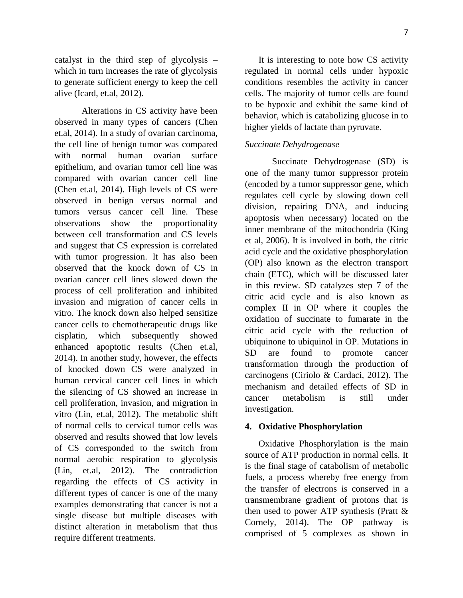catalyst in the third step of glycolysis – which in turn increases the rate of glycolysis to generate sufficient energy to keep the cell alive (Icard, et.al, 2012).

Alterations in CS activity have been observed in many types of cancers (Chen et.al, 2014). In a study of ovarian carcinoma, the cell line of benign tumor was compared with normal human ovarian surface epithelium, and ovarian tumor cell line was compared with ovarian cancer cell line (Chen et.al, 2014). High levels of CS were observed in benign versus normal and tumors versus cancer cell line. These observations show the proportionality between cell transformation and CS levels and suggest that CS expression is correlated with tumor progression. It has also been observed that the knock down of CS in ovarian cancer cell lines slowed down the process of cell proliferation and inhibited invasion and migration of cancer cells in vitro. The knock down also helped sensitize cancer cells to chemotherapeutic drugs like cisplatin, which subsequently showed enhanced apoptotic results (Chen et.al, 2014). In another study, however, the effects of knocked down CS were analyzed in human cervical cancer cell lines in which the silencing of CS showed an increase in cell proliferation, invasion, and migration in vitro (Lin, et.al, 2012). The metabolic shift of normal cells to cervical tumor cells was observed and results showed that low levels of CS corresponded to the switch from normal aerobic respiration to glycolysis (Lin, et.al, 2012). The contradiction regarding the effects of CS activity in different types of cancer is one of the many examples demonstrating that cancer is not a single disease but multiple diseases with distinct alteration in metabolism that thus require different treatments.

It is interesting to note how CS activity regulated in normal cells under hypoxic conditions resembles the activity in cancer cells. The majority of tumor cells are found to be hypoxic and exhibit the same kind of behavior, which is catabolizing glucose in to higher yields of lactate than pyruvate.

#### *Succinate Dehydrogenase*

Succinate Dehydrogenase (SD) is one of the many tumor suppressor protein (encoded by a tumor suppressor gene, which regulates cell cycle by slowing down cell division, repairing DNA, and inducing apoptosis when necessary) located on the inner membrane of the mitochondria (King et al, 2006). It is involved in both, the citric acid cycle and the oxidative phosphorylation (OP) also known as the electron transport chain (ETC), which will be discussed later in this review. SD catalyzes step 7 of the citric acid cycle and is also known as complex II in OP where it couples the oxidation of succinate to fumarate in the citric acid cycle with the reduction of ubiquinone to ubiquinol in OP. Mutations in SD are found to promote cancer transformation through the production of carcinogens (Ciriolo & Cardaci, 2012). The mechanism and detailed effects of SD in cancer metabolism is still under investigation.

#### **4. Oxidative Phosphorylation**

Oxidative Phosphorylation is the main source of ATP production in normal cells. It is the final stage of catabolism of metabolic fuels, a process whereby free energy from the transfer of electrons is conserved in a transmembrane gradient of protons that is then used to power ATP synthesis (Pratt & Cornely, 2014). The OP pathway is comprised of 5 complexes as shown in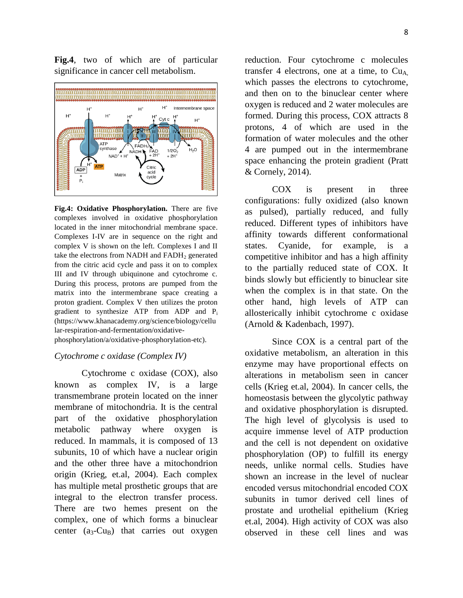**Fig.4**, two of which are of particular significance in cancer cell metabolism.



**Fig.4: Oxidative Phosphorylation.** There are five complexes involved in oxidative phosphorylation located in the inner mitochondrial membrane space. Complexes I-IV are in sequence on the right and complex V is shown on the left. Complexes I and II take the electrons from NADH and FADH<sub>2</sub> generated from the citric acid cycle and pass it on to complex III and IV through ubiquinone and cytochrome c. During this process, protons are pumped from the matrix into the intermembrane space creating a proton gradient. Complex V then utilizes the proton gradient to synthesize ATP from ADP and P<sup>i</sup> (https://www.khanacademy.org/science/biology/cellu lar-respiration-and-fermentation/oxidativephosphorylation/a/oxidative-phosphorylation-etc).

#### *Cytochrome c oxidase (Complex IV)*

Cytochrome c oxidase (COX), also known as complex IV, is a large transmembrane protein located on the inner membrane of mitochondria. It is the central part of the oxidative phosphorylation metabolic pathway where oxygen is reduced. In mammals, it is composed of 13 subunits, 10 of which have a nuclear origin and the other three have a mitochondrion origin (Krieg, et.al, 2004). Each complex has multiple metal prosthetic groups that are integral to the electron transfer process. There are two hemes present on the complex, one of which forms a binuclear center  $(a_3-Cu_B)$  that carries out oxygen

reduction. Four cytochrome c molecules transfer 4 electrons, one at a time, to  $Cu<sub>A</sub>$ which passes the electrons to cytochrome, and then on to the binuclear center where oxygen is reduced and 2 water molecules are formed. During this process, COX attracts 8 protons, 4 of which are used in the formation of water molecules and the other 4 are pumped out in the intermembrane space enhancing the protein gradient (Pratt & Cornely, 2014).

COX is present in three configurations: fully oxidized (also known as pulsed), partially reduced, and fully reduced. Different types of inhibitors have affinity towards different conformational states. Cyanide, for example, is a competitive inhibitor and has a high affinity to the partially reduced state of COX. It binds slowly but efficiently to binuclear site when the complex is in that state. On the other hand, high levels of ATP can allosterically inhibit cytochrome c oxidase (Arnold & Kadenbach, 1997).

Since COX is a central part of the oxidative metabolism, an alteration in this enzyme may have proportional effects on alterations in metabolism seen in cancer cells (Krieg et.al, 2004). In cancer cells, the homeostasis between the glycolytic pathway and oxidative phosphorylation is disrupted. The high level of glycolysis is used to acquire immense level of ATP production and the cell is not dependent on oxidative phosphorylation (OP) to fulfill its energy needs, unlike normal cells. Studies have shown an increase in the level of nuclear encoded versus mitochondrial encoded COX subunits in tumor derived cell lines of prostate and urothelial epithelium (Krieg et.al, 2004). High activity of COX was also observed in these cell lines and was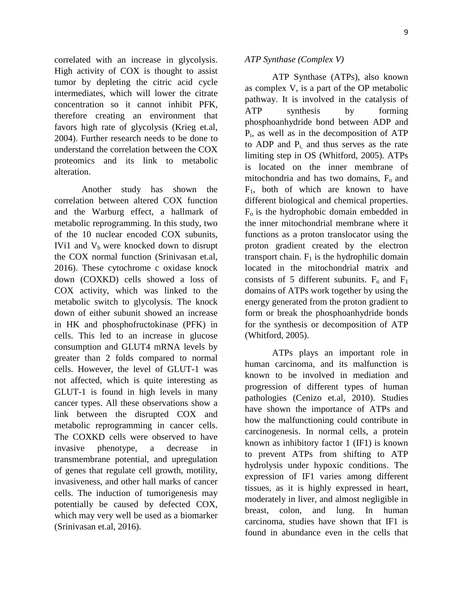correlated with an increase in glycolysis. High activity of COX is thought to assist tumor by depleting the citric acid cycle intermediates, which will lower the citrate concentration so it cannot inhibit PFK, therefore creating an environment that favors high rate of glycolysis (Krieg et.al, 2004). Further research needs to be done to understand the correlation between the COX proteomics and its link to metabolic alteration.

Another study has shown the correlation between altered COX function and the Warburg effect, a hallmark of metabolic reprogramming. In this study, two of the 10 nuclear encoded COX subunits, IVi1 and  $V<sub>b</sub>$  were knocked down to disrupt the COX normal function (Srinivasan et.al, 2016). These cytochrome c oxidase knock down (COXKD) cells showed a loss of COX activity, which was linked to the metabolic switch to glycolysis. The knock down of either subunit showed an increase in HK and phosphofructokinase (PFK) in cells. This led to an increase in glucose consumption and GLUT4 mRNA levels by greater than 2 folds compared to normal cells. However, the level of GLUT-1 was not affected, which is quite interesting as GLUT-1 is found in high levels in many cancer types. All these observations show a link between the disrupted COX and metabolic reprogramming in cancer cells. The COXKD cells were observed to have invasive phenotype, a decrease in transmembrane potential, and upregulation of genes that regulate cell growth, motility, invasiveness, and other hall marks of cancer cells. The induction of tumorigenesis may potentially be caused by defected COX, which may very well be used as a biomarker (Srinivasan et.al, 2016).

#### *ATP Synthase (Complex V)*

ATP Synthase (ATPs), also known as complex V, is a part of the OP metabolic pathway. It is involved in the catalysis of ATP synthesis by forming phosphoanhydride bond between ADP and Pi , as well as in the decomposition of ATP to ADP and  $P_i$ , and thus serves as the rate limiting step in OS (Whitford, 2005). ATPs is located on the inner membrane of mitochondria and has two domains,  $F<sub>o</sub>$  and  $F_1$ , both of which are known to have different biological and chemical properties.  $F<sub>o</sub>$  is the hydrophobic domain embedded in the inner mitochondrial membrane where it functions as a proton translocator using the proton gradient created by the electron transport chain.  $F_1$  is the hydrophilic domain located in the mitochondrial matrix and consists of 5 different subunits.  $F_0$  and  $F_1$ domains of ATPs work together by using the energy generated from the proton gradient to form or break the phosphoanhydride bonds for the synthesis or decomposition of ATP (Whitford, 2005).

ATPs plays an important role in human carcinoma, and its malfunction is known to be involved in mediation and progression of different types of human pathologies (Cenizo et.al, 2010). Studies have shown the importance of ATPs and how the malfunctioning could contribute in carcinogenesis. In normal cells, a protein known as inhibitory factor 1 (IF1) is known to prevent ATPs from shifting to ATP hydrolysis under hypoxic conditions. The expression of IF1 varies among different tissues, as it is highly expressed in heart, moderately in liver, and almost negligible in breast, colon, and lung. In human carcinoma, studies have shown that IF1 is found in abundance even in the cells that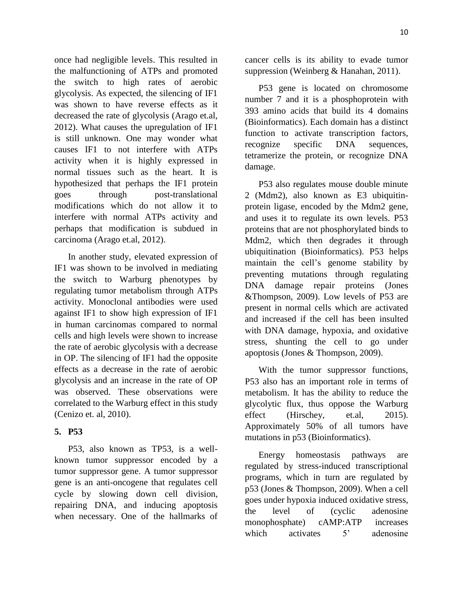once had negligible levels. This resulted in the malfunctioning of ATPs and promoted the switch to high rates of aerobic glycolysis. As expected, the silencing of IF1 was shown to have reverse effects as it decreased the rate of glycolysis (Arago et.al, 2012). What causes the upregulation of IF1 is still unknown. One may wonder what causes IF1 to not interfere with ATPs activity when it is highly expressed in normal tissues such as the heart. It is hypothesized that perhaps the IF1 protein goes through post-translational modifications which do not allow it to interfere with normal ATPs activity and perhaps that modification is subdued in carcinoma (Arago et.al, 2012).

In another study, elevated expression of IF1 was shown to be involved in mediating the switch to Warburg phenotypes by regulating tumor metabolism through ATPs activity. Monoclonal antibodies were used against IF1 to show high expression of IF1 in human carcinomas compared to normal cells and high levels were shown to increase the rate of aerobic glycolysis with a decrease in OP. The silencing of IF1 had the opposite effects as a decrease in the rate of aerobic glycolysis and an increase in the rate of OP was observed. These observations were correlated to the Warburg effect in this study (Cenizo et. al, 2010).

## **5. P53**

P53, also known as TP53, is a wellknown tumor suppressor encoded by a tumor suppressor gene. A tumor suppressor gene is an anti-oncogene that regulates cell cycle by slowing down cell division, repairing DNA, and inducing apoptosis when necessary. One of the hallmarks of cancer cells is its ability to evade tumor suppression (Weinberg & Hanahan, 2011).

P53 gene is located on chromosome number 7 and it is a phosphoprotein with 393 amino acids that build its 4 domains (Bioinformatics). Each domain has a distinct function to activate transcription factors, recognize specific DNA sequences, tetramerize the protein, or recognize DNA damage.

P53 also regulates mouse double minute 2 (Mdm2), also known as E3 ubiquitinprotein ligase, encoded by the Mdm2 gene, and uses it to regulate its own levels. P53 proteins that are not phosphorylated binds to Mdm2, which then degrades it through ubiquitination (Bioinformatics). P53 helps maintain the cell's genome stability by preventing mutations through regulating DNA damage repair proteins (Jones &Thompson, 2009). Low levels of P53 are present in normal cells which are activated and increased if the cell has been insulted with DNA damage, hypoxia, and oxidative stress, shunting the cell to go under apoptosis (Jones & Thompson, 2009).

With the tumor suppressor functions, P53 also has an important role in terms of metabolism. It has the ability to reduce the glycolytic flux, thus oppose the Warburg effect (Hirschey, et.al, 2015). Approximately 50% of all tumors have mutations in p53 (Bioinformatics).

Energy homeostasis pathways are regulated by stress-induced transcriptional programs, which in turn are regulated by p53 (Jones & Thompson, 2009). When a cell goes under hypoxia induced oxidative stress, the level of (cyclic adenosine monophosphate) cAMP:ATP increases which activates 5<sup>'</sup> adenosine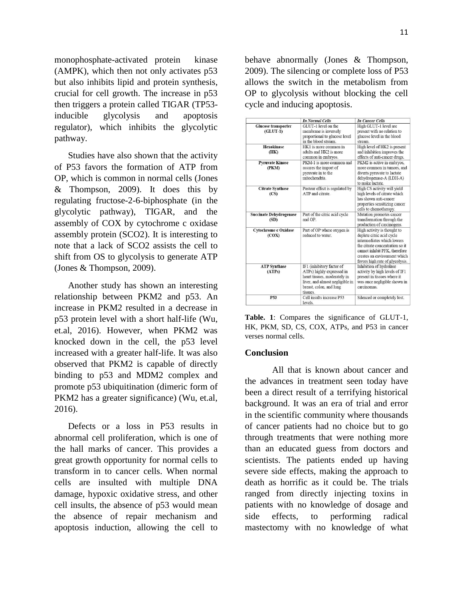monophosphate-activated protein kinase (AMPK), which then not only activates p53 but also inhibits lipid and protein synthesis, crucial for cell growth. The increase in p53 then triggers a protein called TIGAR (TP53 inducible glycolysis and apoptosis regulator), which inhibits the glycolytic pathway.

Studies have also shown that the activity of P53 favors the formation of ATP from OP, which is common in normal cells (Jones & Thompson, 2009). It does this by regulating fructose-2-6-biphosphate (in the glycolytic pathway), TIGAR, and the assembly of COX by cytochrome c oxidase assembly protein (SCO2). It is interesting to note that a lack of SCO2 assists the cell to shift from OS to glycolysis to generate ATP (Jones & Thompson, 2009).

Another study has shown an interesting relationship between PKM2 and p53. An increase in PKM2 resulted in a decrease in p53 protein level with a short half-life (Wu, et.al, 2016). However, when PKM2 was knocked down in the cell, the p53 level increased with a greater half-life. It was also observed that PKM2 is capable of directly binding to p53 and MDM2 complex and promote p53 ubiquitination (dimeric form of PKM2 has a greater significance) (Wu, et.al, 2016).

Defects or a loss in P53 results in abnormal cell proliferation, which is one of the hall marks of cancer. This provides a great growth opportunity for normal cells to transform in to cancer cells. When normal cells are insulted with multiple DNA damage, hypoxic oxidative stress, and other cell insults, the absence of p53 would mean the absence of repair mechanism and apoptosis induction, allowing the cell to behave abnormally (Jones & Thompson, 2009). The silencing or complete loss of P53 allows the switch in the metabolism from OP to glycolysis without blocking the cell cycle and inducing apoptosis.

|                                | <b>In Normal Cells</b>          | <b>In Cancer Cells</b>          |
|--------------------------------|---------------------------------|---------------------------------|
| <b>Glucose transporter</b>     | GLUT-1 level on the             | High GLUT-1 level are           |
| $(GLUT-1)$                     | membrane is inversely           | present with no relation to     |
|                                | proportional to glucose level   | glucose level in the blood      |
|                                | in the blood stream.            | stream.                         |
| <b>Hexokinase</b>              | HK1 is more common in           | High level of HK2 is present    |
| (HK)                           | adults and HK2 is more          | and inhibition improves the     |
|                                | common in embryos.              | effects of anti-cancer drugs.   |
| <b>Pyruvate Kinase</b>         | PKM-1 is more common and        | PKM2 is active in embryos.      |
| (PKM)                          | assures the import of           | more common in tumors, and      |
|                                | pyruvate in to the              | diverts pyruvate to lactate     |
|                                | mitochondria                    | dehydrogenase-A (LDH-A)         |
|                                |                                 | to make lactate.                |
| <b>Citrate Synthase</b>        | Pasteur effect is regulated by  | High CS activity will yield     |
| (CS)                           | ATP and citrate                 | high levels of citrate which    |
|                                |                                 | has shown anti-cancer           |
|                                |                                 | properties sensitizing cancer   |
|                                |                                 | cells to chemotherapy.          |
| <b>Succinate Dehydrogenase</b> | Part of the citric acid cycle   | Mutation promotes cancer        |
| (SD)                           | and OP.                         | transformation through the      |
|                                |                                 | production of carcinogens.      |
| <b>Cytochrome c Oxidase</b>    | Part of OP where oxygen is      | High activity is thought to     |
| (COX)                          | reduced to water.               | deplete citric acid cycle       |
|                                |                                 | intermediates which lowers      |
|                                |                                 | the citrate concentration so it |
|                                |                                 | cannot inhibit PFK, therefore   |
|                                |                                 | creates an environment which    |
|                                |                                 | favors high rate of glycolysis. |
| <b>ATP Synthase</b>            | IF1 (inhibitory factor of       | Inhibition of hydrolase         |
| (ATPs)                         | ATPs) highly expressed in       | activity by high levels of IF1  |
|                                | heart tissues, moderately in    | present in tissues where it     |
|                                | liver, and almost negligible in | was once negligible shown in    |
|                                | breast, colon, and lung         | carcinomas.                     |
|                                | tissues.                        |                                 |
| P53                            | Cell insults increase P53       | Silenced or completely lost.    |
|                                | levels.                         |                                 |

**Table. 1**: Compares the significance of GLUT-1, HK, PKM, SD, CS, COX, ATPs, and P53 in cancer verses normal cells.

#### **Conclusion**

All that is known about cancer and the advances in treatment seen today have been a direct result of a terrifying historical background. It was an era of trial and error in the scientific community where thousands of cancer patients had no choice but to go through treatments that were nothing more than an educated guess from doctors and scientists. The patients ended up having severe side effects, making the approach to death as horrific as it could be. The trials ranged from directly injecting toxins in patients with no knowledge of dosage and side effects, to performing radical mastectomy with no knowledge of what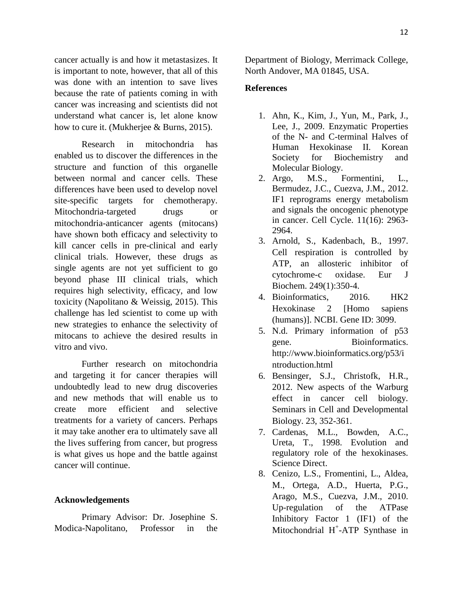cancer actually is and how it metastasizes. It is important to note, however, that all of this was done with an intention to save lives because the rate of patients coming in with cancer was increasing and scientists did not understand what cancer is, let alone know how to cure it. (Mukherjee & Burns, 2015).

Research in mitochondria has enabled us to discover the differences in the structure and function of this organelle between normal and cancer cells. These differences have been used to develop novel site-specific targets for chemotherapy. Mitochondria-targeted drugs or mitochondria-anticancer agents (mitocans) have shown both efficacy and selectivity to kill cancer cells in pre-clinical and early clinical trials. However, these drugs as single agents are not yet sufficient to go beyond phase III clinical trials, which requires high selectivity, efficacy, and low toxicity (Napolitano & Weissig, 2015). This challenge has led scientist to come up with new strategies to enhance the selectivity of mitocans to achieve the desired results in vitro and vivo.

Further research on mitochondria and targeting it for cancer therapies will undoubtedly lead to new drug discoveries and new methods that will enable us to create more efficient and selective treatments for a variety of cancers. Perhaps it may take another era to ultimately save all the lives suffering from cancer, but progress is what gives us hope and the battle against cancer will continue.

## **Acknowledgements**

Primary Advisor: Dr. Josephine S. Modica-Napolitano, Professor in the Department of Biology, Merrimack College, North Andover, MA 01845, USA.

### **References**

- 1. Ahn, K., Kim, J., Yun, M., Park, J., Lee, J., 2009. Enzymatic Properties of the N- and C-terminal Halves of Human Hexokinase II. Korean Society for Biochemistry and Molecular Biology.
- 2. Argo, M.S., Formentini, L., Bermudez, J.C., Cuezva, J.M., 2012. IF1 reprograms energy metabolism and signals the oncogenic phenotype in cancer. Cell Cycle. 11(16): 2963- 2964.
- 3. Arnold, S., Kadenbach, B., 1997. Cell respiration is controlled by ATP, an allosteric inhibitor of cytochrome-c oxidase. Eur J Biochem. 249(1):350-4.
- 4. Bioinformatics, 2016. HK2 Hexokinase 2 [Homo sapiens (humans)]. NCBI. Gene ID: 3099.
- 5. N.d. Primary information of p53 gene. Bioinformatics. http://www.bioinformatics.org/p53/i ntroduction.html
- 6. Bensinger, S.J., Christofk, H.R., 2012. New aspects of the Warburg effect in cancer cell biology. Seminars in Cell and Developmental Biology. 23, 352-361.
- 7. Cardenas, M.L., Bowden, A.C., Ureta, T., 1998. Evolution and regulatory role of the hexokinases. Science Direct.
- 8. Cenizo, L.S., Fromentini, L., Aldea, M., Ortega, A.D., Huerta, P.G., Arago, M.S., Cuezva, J.M., 2010. Up-regulation of the ATPase Inhibitory Factor 1 (IF1) of the Mitochondrial H<sup>+</sup>-ATP Synthase in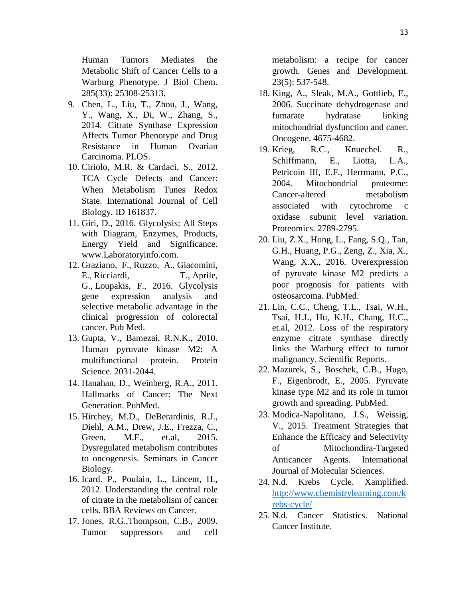Human Tumors Mediates the Metabolic Shift of Cancer Cells to a Warburg Phenotype. J Biol Chem. 285(33): 25308-25313.

- 9. Chen, L., Liu, T., Zhou, J., Wang, Y., Wang, X., Di, W., Zhang, S., 2014. Citrate Synthase Expression Affects Tumor Phenotype and Drug Resistance in Human Ovarian Carcinoma. PLOS.
- 10. Ciriolo, M.R. & Cardaci, S., 2012. TCA Cycle Defects and Cancer: When Metabolism Tunes Redox State. International Journal of Cell Biology. ID 161837.
- 11. Giri, D., 2016. Glycolysis: All Steps with Diagram, Enzymes, Products, Energy Yield and Significance. www.Laboratoryinfo.com.
- 12. [Graziano, F.](https://www.ncbi.nlm.nih.gov/pubmed/?term=Graziano%20F%5BAuthor%5D&cauthor=true&cauthor_uid=26927284), [Ruzzo, A.](https://www.ncbi.nlm.nih.gov/pubmed/?term=Ruzzo%20A%5BAuthor%5D&cauthor=true&cauthor_uid=26927284), [Giacomini,](https://www.ncbi.nlm.nih.gov/pubmed/?term=Giacomini%20E%5BAuthor%5D&cauthor=true&cauthor_uid=26927284)  [E.](https://www.ncbi.nlm.nih.gov/pubmed/?term=Giacomini%20E%5BAuthor%5D&cauthor=true&cauthor_uid=26927284), [Ricciardi, T.](https://www.ncbi.nlm.nih.gov/pubmed/?term=Ricciardi%20T%5BAuthor%5D&cauthor=true&cauthor_uid=26927284), [Aprile,](https://www.ncbi.nlm.nih.gov/pubmed/?term=Aprile%20G%5BAuthor%5D&cauthor=true&cauthor_uid=26927284)  [G.](https://www.ncbi.nlm.nih.gov/pubmed/?term=Aprile%20G%5BAuthor%5D&cauthor=true&cauthor_uid=26927284), [Loupakis, F.](https://www.ncbi.nlm.nih.gov/pubmed/?term=Loupakis%20F%5BAuthor%5D&cauthor=true&cauthor_uid=26927284), 2016. Glycolysis gene expression analysis and selective metabolic advantage in the clinical progression of colorectal cancer. Pub Med.
- 13. Gupta, V., Bamezai, R.N.K., 2010. Human pyruvate kinase M2: A multifunctional protein. Protein Science. 2031-2044.
- 14. Hanahan, D., Weinberg, R.A., 2011. Hallmarks of Cancer: The Next Generation. PubMed.
- 15. Hirchey, M.D., DeBerardinis, R.J., Diehl, A.M., Drew, J.E., Frezza, C., Green, M.F., et.al, 2015. Dysregulated metabolism contributes to oncogenesis. Seminars in Cancer Biology.
- 16. Icard. P., Poulain, L., Lincent, H., 2012. Understanding the central role of citrate in the metabolism of cancer cells. BBA Reviews on Cancer.
- 17. Jones, R.G.,Thompson, C.B., 2009. Tumor suppressors and cell

metabolism: a recipe for cancer growth. Genes and Development. 23(5): 537-548.

- 18. King, A., Sleak, M.A., Gottlieb, E., 2006. Succinate dehydrogenase and fumarate hydratase linking mitochondrial dysfunction and caner. Oncogene. 4675-4682.
- 19. Krieg, R.C., Knuechel. R., Schiffmann, E., Liotta, L.A., Petricoin III, E.F., Herrmann, P.C., 2004. Mitochondrial proteome: Cancer-altered metabolism associated with cytochrome c oxidase subunit level variation. Proteomics. 2789-2795.
- 20. Liu, Z.X., Hong, L., Fang, S.Q., Tan, G.H., Huang, P.G., Zeng, Z., Xia, X., Wang, X.X., 2016. Overexpression of pyruvate kinase M2 predicts a poor prognosis for patients with osteosarcoma. PubMed.
- 21. Lin, C.C., Cheng, T.L., Tsai, W.H., Tsai, H.J., Hu, K.H., Chang, H.C., et.al, 2012. Loss of the respiratory enzyme citrate synthase directly links the Warburg effect to tumor malignancy. Scientific Reports.
- 22. Mazurek, S., Boschek, C.B., Hugo, F., Eigenbrodt, E., 2005. Pyruvate kinase type M2 and its role in tumor growth and spreading. PubMed.
- 23. Modica-Napolitano, J.S., Weissig, V., 2015. Treatment Strategies that Enhance the Efficacy and Selectivity of Mitochondira-Targeted Anticancer Agents. International Journal of Molecular Sciences.
- 24. N.d. Krebs Cycle. Xamplified. [http://www.chemistrylearning.com/k](http://www.chemistrylearning.com/krebs-cycle/) [rebs-cycle/](http://www.chemistrylearning.com/krebs-cycle/)
- 25. N.d. Cancer Statistics. National Cancer Institute.